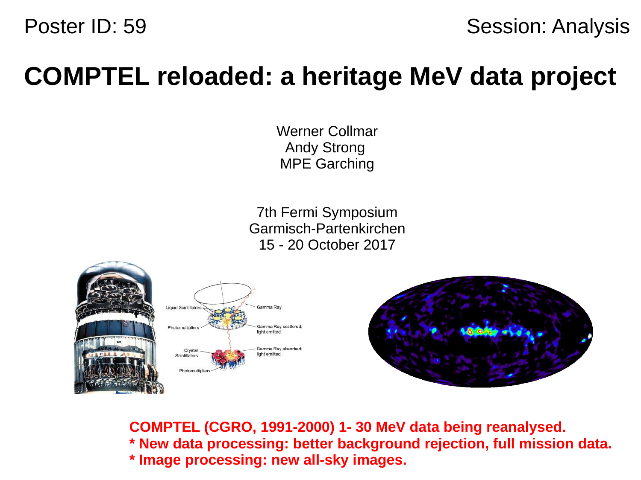

# **COMPTEL reloaded: a heritage MeV data project**

Werner Collmar Andy Strong MPE Garching

7th Fermi Symposium Garmisch-Partenkirchen 15 - 20 October 2017







**COMPTEL (CGRO, 1991-2000) 1- 30 MeV data being reanalysed. \* New data processing: better background rejection, full mission data. \* Image processing: new all-sky images.**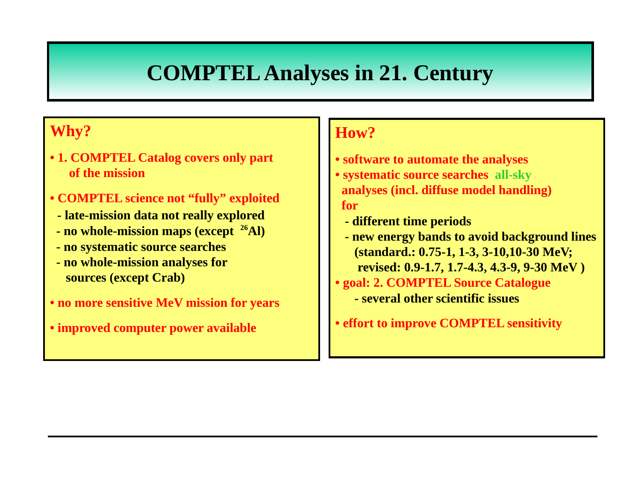### **COMPTEL Analyses in 21. Century**

#### **Why?**

- **1. COMPTEL Catalog covers only part of the mission**
- **COMPTEL science not "fully" exploited**
- **late-mission data not really explored**
- **no whole-mission maps (except <sup>26</sup>Al)**
- **no systematic source searches**
- **no whole-mission analyses for sources (except Crab)**
- **no more sensitive MeV mission for years**
- **improved computer power available**

#### **How?**

- **software to automate the analyses**
- **systematic source searches all-sky analyses (incl. diffuse model handling) for** 
	- **different time periods**
	- **new energy bands to avoid background lines (standard.: 0.75-1, 1-3, 3-10,10-30 MeV; revised: 0.9-1.7, 1.7-4.3, 4.3-9, 9-30 MeV )**
- **goal: 2. COMPTEL Source Catalogue - several other scientific issues**
- **effort to improve COMPTEL sensitivity**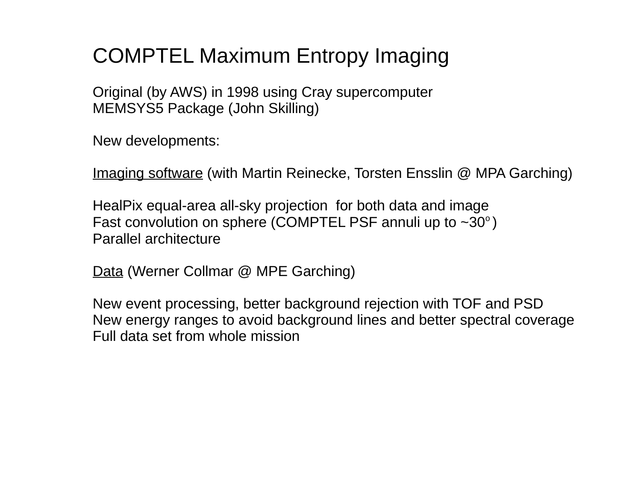## COMPTEL Maximum Entropy Imaging

Original (by AWS) in 1998 using Cray supercomputer MEMSYS5 Package (John Skilling)

New developments:

Imaging software (with Martin Reinecke, Torsten Ensslin @ MPA Garching)

HealPix equal-area all-sky projection for both data and image Fast convolution on sphere (COMPTEL PSF annuli up to  $\sim 30^\circ$ ) Parallel architecture

Data (Werner Collmar @ MPE Garching)

New event processing, better background rejection with TOF and PSD New energy ranges to avoid background lines and better spectral coverage Full data set from whole mission